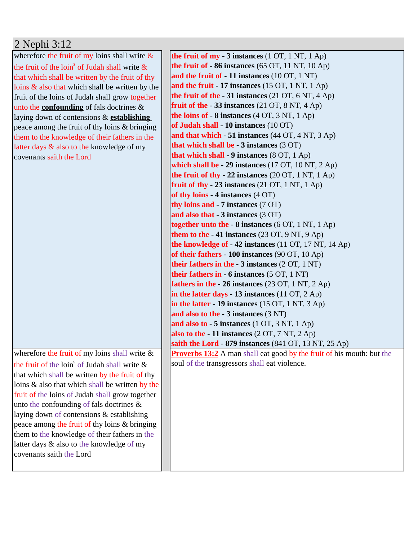| 2 Nephi 3:12 |  |  |
|--------------|--|--|
|              |  |  |

wherefore the fruit of my loins shall write  $\&$ the fruit of the loin<sup>s</sup> of Judah shall write  $\&$ that which shall be written by the fruit of thy loins & also that which shall be written by the fruit of the loins of Judah shall grow together unto the **confounding** of fals doctrines & laying down of contensions & **establishing**  peace among the fruit of thy loins & bringing them to the knowledge of their fathers in the latter days & also to the knowledge of my covenants saith the Lord

wherefore the fruit of my loins shall write  $\&$ the fruit of the loin<sup>s</sup> of Judah shall write  $\&$ that which shall be written by the fruit of thy loins & also that which shall be written by the fruit of the loins of Judah shall grow together unto the confounding of fals doctrines & laying down of contensions & establishing peace among the fruit of thy loins & bringing them to the knowledge of their fathers in the latter days & also to the knowledge of my covenants saith the Lord

**the fruit of my - 3 instances** (1 OT, 1 NT, 1 Ap) **the fruit of - 86 instances** (65 OT, 11 NT, 10 Ap) **and the fruit of - 11 instances** (10 OT, 1 NT) **and the fruit - 17 instances** (15 OT, 1 NT, 1 Ap) **the fruit of the - 31 instances** (21 OT, 6 NT, 4 Ap) **fruit of the - 33 instances** (21 OT, 8 NT, 4 Ap) **the loins of - 8 instances** (4 OT, 3 NT, 1 Ap) **of Judah shall - 10 instances** (10 OT) **and that which - 51 instances** (44 OT, 4 NT, 3 Ap) **that which shall be - 3 instances** (3 OT) **that which shall - 9 instances** (8 OT, 1 Ap) **which shall be - 29 instances** (17 OT, 10 NT, 2 Ap) **the fruit of thy - 22 instances** (20 OT, 1 NT, 1 Ap) **fruit of thy - 23 instances** (21 OT, 1 NT, 1 Ap) **of thy loins - 4 instances** (4 OT) **thy loins and - 7 instances** (7 OT) **and also that - 3 instances** (3 OT) **together unto the - 8 instances** (6 OT, 1 NT, 1 Ap) **them to the - 41 instances** (23 OT, 9 NT, 9 Ap) **the knowledge of - 42 instances** (11 OT, 17 NT, 14 Ap) **of their fathers - 100 instances** (90 OT, 10 Ap) **their fathers in the - 3 instances** (2 OT, 1 NT) **their fathers in - 6 instances** (5 OT, 1 NT) **fathers in the - 26 instances** (23 OT, 1 NT, 2 Ap) **in the latter days - 13 instances** (11 OT, 2 Ap) **in the latter - 19 instances** (15 OT, 1 NT, 3 Ap) **and also to the - 3 instances** (3 NT) **and also to - 5 instances** (1 OT, 3 NT, 1 Ap) **also to the - 11 instances** (2 OT, 7 NT, 2 Ap) **saith the Lord - 879 instances** (841 OT, 13 NT, 25 Ap) **Proverbs 13:2** A man shall eat good by the fruit of his mouth: but the soul of the transgressors shall eat violence.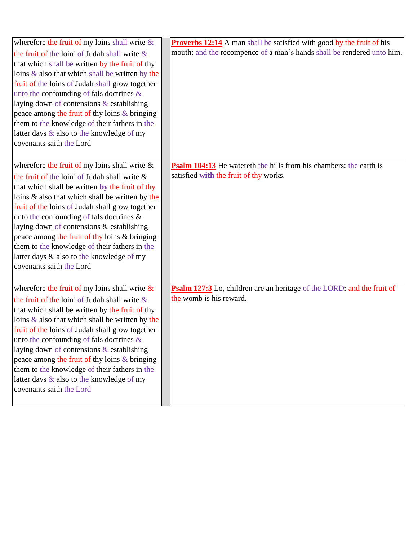| wherefore the fruit of my loins shall write &                | <b>Proverbs 12:14</b> A man shall be satisfied with good by the fruit of his |
|--------------------------------------------------------------|------------------------------------------------------------------------------|
| the fruit of the loin <sup>s</sup> of Judah shall write $\&$ | mouth: and the recompence of a man's hands shall be rendered unto him.       |
| that which shall be written by the fruit of thy              |                                                                              |
| loins $\&$ also that which shall be written by the           |                                                                              |
| fruit of the loins of Judah shall grow together              |                                                                              |
| unto the confounding of fals doctrines $\&$                  |                                                                              |
| laying down of contensions & establishing                    |                                                                              |
| peace among the fruit of thy loins & bringing                |                                                                              |
| them to the knowledge of their fathers in the                |                                                                              |
| latter days & also to the knowledge of my                    |                                                                              |
| covenants saith the Lord                                     |                                                                              |
|                                                              |                                                                              |
| wherefore the fruit of my loins shall write $\&$             | <b>Psalm 104:13</b> He watereth the hills from his chambers: the earth is    |
| the fruit of the loin <sup>s</sup> of Judah shall write $\&$ | satisfied with the fruit of thy works.                                       |
| that which shall be written by the fruit of thy              |                                                                              |
| loins & also that which shall be written by the              |                                                                              |
| fruit of the loins of Judah shall grow together              |                                                                              |
| unto the confounding of fals doctrines &                     |                                                                              |
| laying down of contensions & establishing                    |                                                                              |
| peace among the fruit of thy loins & bringing                |                                                                              |
| them to the knowledge of their fathers in the                |                                                                              |
| latter days & also to the knowledge of my                    |                                                                              |
| covenants saith the Lord                                     |                                                                              |
|                                                              |                                                                              |
| wherefore the fruit of my loins shall write $\&$             | Psalm 127:3 Lo, children are an heritage of the LORD: and the fruit of       |
| the fruit of the loin <sup>s</sup> of Judah shall write $\&$ | the womb is his reward.                                                      |
| that which shall be written by the fruit of thy              |                                                                              |
| loins $\&$ also that which shall be written by the           |                                                                              |
| fruit of the loins of Judah shall grow together              |                                                                              |
| unto the confounding of fals doctrines $\&$                  |                                                                              |
| laying down of contensions & establishing                    |                                                                              |
| peace among the fruit of thy loins & bringing                |                                                                              |
| them to the knowledge of their fathers in the                |                                                                              |
| latter days & also to the knowledge of my                    |                                                                              |
| covenants saith the Lord                                     |                                                                              |
|                                                              |                                                                              |
|                                                              |                                                                              |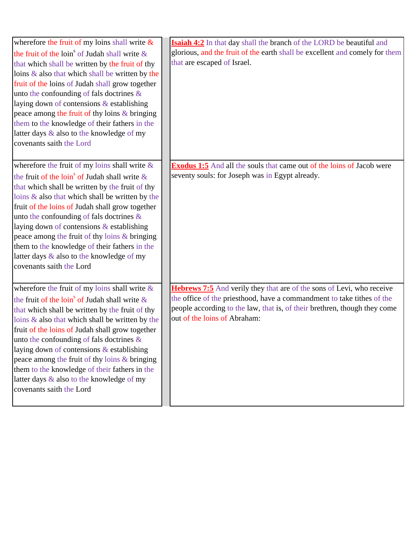| wherefore the fruit of my loins shall write $\&$             | Isaiah 4:2 In that day shall the branch of the LORD be beautiful and                                      |
|--------------------------------------------------------------|-----------------------------------------------------------------------------------------------------------|
| the fruit of the loin <sup>s</sup> of Judah shall write $\&$ | glorious, and the fruit of the earth shall be excellent and comely for them                               |
| that which shall be written by the fruit of thy              | that are escaped of Israel.                                                                               |
| loins & also that which shall be written by the              |                                                                                                           |
| fruit of the loins of Judah shall grow together              |                                                                                                           |
| unto the confounding of fals doctrines &                     |                                                                                                           |
| laying down of contensions & establishing                    |                                                                                                           |
| peace among the fruit of thy loins & bringing                |                                                                                                           |
| them to the knowledge of their fathers in the                |                                                                                                           |
| latter days & also to the knowledge of my                    |                                                                                                           |
| covenants saith the Lord                                     |                                                                                                           |
|                                                              |                                                                                                           |
| wherefore the fruit of my loins shall write &                | <b>Exodus 1:5</b> And all the souls that came out of the loins of Jacob were                              |
| the fruit of the loin <sup>s</sup> of Judah shall write $\&$ | seventy souls: for Joseph was in Egypt already.                                                           |
| that which shall be written by the fruit of thy              |                                                                                                           |
| loins & also that which shall be written by the              |                                                                                                           |
| fruit of the loins of Judah shall grow together              |                                                                                                           |
| unto the confounding of fals doctrines &                     |                                                                                                           |
| laying down of contensions & establishing                    |                                                                                                           |
| peace among the fruit of thy loins & bringing                |                                                                                                           |
| them to the knowledge of their fathers in the                |                                                                                                           |
| latter days & also to the knowledge of my                    |                                                                                                           |
| covenants saith the Lord                                     |                                                                                                           |
|                                                              |                                                                                                           |
|                                                              |                                                                                                           |
| wherefore the fruit of my loins shall write $\&$             | Hebrews 7:5 And verily they that are of the sons of Levi, who receive                                     |
| the fruit of the loin <sup>s</sup> of Judah shall write $\&$ | the office of the priesthood, have a commandment to take tithes of the                                    |
| that which shall be written by the fruit of thy              | people according to the law, that is, of their brethren, though they come<br>out of the loins of Abraham: |
| loins $\&$ also that which shall be written by the           |                                                                                                           |
| fruit of the loins of Judah shall grow together              |                                                                                                           |
| unto the confounding of fals doctrines $\&$                  |                                                                                                           |
| laying down of contensions & establishing                    |                                                                                                           |
| peace among the fruit of thy loins & bringing                |                                                                                                           |
| them to the knowledge of their fathers in the                |                                                                                                           |
| latter days & also to the knowledge of my                    |                                                                                                           |
| covenants saith the Lord                                     |                                                                                                           |
|                                                              |                                                                                                           |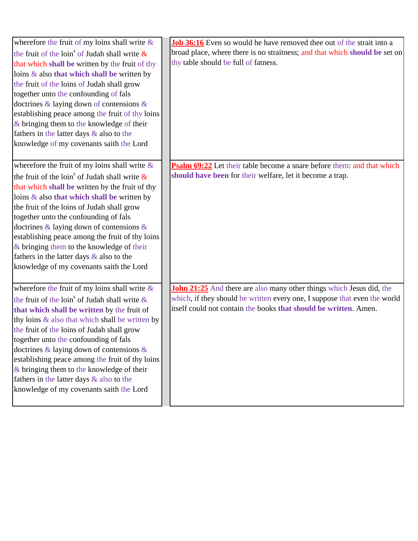| wherefore the fruit of my loins shall write $\&$             | Job 36:16 Even so would he have removed thee out of the strait into a       |
|--------------------------------------------------------------|-----------------------------------------------------------------------------|
| the fruit of the loin <sup>s</sup> of Judah shall write $\&$ | broad place, where there is no straitness; and that which should be set on  |
| that which shall be written by the fruit of thy              | thy table should be full of fatness.                                        |
| loins $\&$ also that which shall be written by               |                                                                             |
| the fruit of the loins of Judah shall grow                   |                                                                             |
| together unto the confounding of fals                        |                                                                             |
| doctrines $\&$ laying down of contensions $\&$               |                                                                             |
| establishing peace among the fruit of thy loins              |                                                                             |
| & bringing them to the knowledge of their                    |                                                                             |
| fathers in the latter days & also to the                     |                                                                             |
| knowledge of my covenants saith the Lord                     |                                                                             |
| wherefore the fruit of my loins shall write $\&$             | Psalm 69:22 Let their table become a snare before them: and that which      |
| the fruit of the loin <sup>s</sup> of Judah shall write $\&$ | should have been for their welfare, let it become a trap.                   |
| that which shall be written by the fruit of thy              |                                                                             |
| loins $\&$ also that which shall be written by               |                                                                             |
| the fruit of the loins of Judah shall grow                   |                                                                             |
| together unto the confounding of fals                        |                                                                             |
| doctrines $\&$ laying down of contensions $\&$               |                                                                             |
| establishing peace among the fruit of thy loins              |                                                                             |
| & bringing them to the knowledge of their                    |                                                                             |
| fathers in the latter days $\&$ also to the                  |                                                                             |
| knowledge of my covenants saith the Lord                     |                                                                             |
| wherefore the fruit of my loins shall write $\&$             | <b>John 21:25</b> And there are also many other things which Jesus did, the |
| the fruit of the $\text{loin}^s$ of Judah shall write $\&$   | which, if they should be written every one, I suppose that even the world   |
| that which shall be written by the fruit of                  | itself could not contain the books that should be written. Amen.            |
| thy loins & also that which shall be written by              |                                                                             |
| the fruit of the loins of Judah shall grow                   |                                                                             |
| together unto the confounding of fals                        |                                                                             |
| doctrines & laying down of contensions &                     |                                                                             |
| establishing peace among the fruit of thy loins              |                                                                             |
| $&$ bringing them to the knowledge of their                  |                                                                             |
| fathers in the latter days & also to the                     |                                                                             |
| knowledge of my covenants saith the Lord                     |                                                                             |
|                                                              |                                                                             |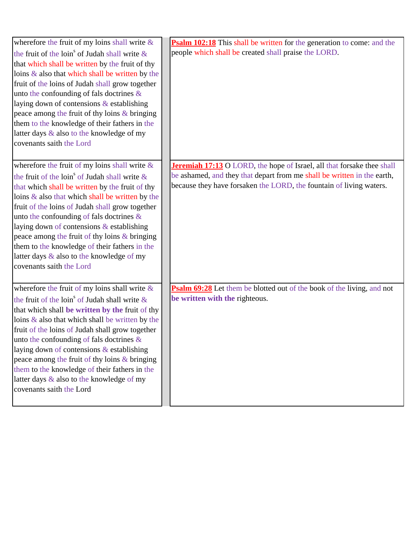| wherefore the fruit of my loins shall write $\&$             | <b>Psalm 102:18</b> This shall be written for the generation to come: and the |
|--------------------------------------------------------------|-------------------------------------------------------------------------------|
| the fruit of the loin <sup>s</sup> of Judah shall write $\&$ | people which shall be created shall praise the LORD.                          |
| that which shall be written by the fruit of thy              |                                                                               |
| loins & also that which shall be written by the              |                                                                               |
| fruit of the loins of Judah shall grow together              |                                                                               |
| unto the confounding of fals doctrines $\&$                  |                                                                               |
| laying down of contensions & establishing                    |                                                                               |
| peace among the fruit of thy loins & bringing                |                                                                               |
| them to the knowledge of their fathers in the                |                                                                               |
| latter days & also to the knowledge of my                    |                                                                               |
| covenants saith the Lord                                     |                                                                               |
|                                                              |                                                                               |
| wherefore the fruit of my loins shall write &                | Jeremiah 17:13 O LORD, the hope of Israel, all that forsake thee shall        |
| the fruit of the loin <sup>s</sup> of Judah shall write $\&$ | be ashamed, and they that depart from me shall be written in the earth,       |
| that which shall be written by the fruit of thy              | because they have forsaken the LORD, the fountain of living waters.           |
| loins & also that which shall be written by the              |                                                                               |
| fruit of the loins of Judah shall grow together              |                                                                               |
| unto the confounding of fals doctrines $\&$                  |                                                                               |
| laying down of contensions & establishing                    |                                                                               |
| peace among the fruit of thy loins & bringing                |                                                                               |
| them to the knowledge of their fathers in the                |                                                                               |
| latter days & also to the knowledge of my                    |                                                                               |
| covenants saith the Lord                                     |                                                                               |
|                                                              |                                                                               |
| wherefore the fruit of my loins shall write &                | Psalm 69:28 Let them be blotted out of the book of the living, and not        |
| the fruit of the loin <sup>s</sup> of Judah shall write $\&$ | be written with the righteous.                                                |
| that which shall be written by the fruit of thy              |                                                                               |
| loins $\&$ also that which shall be written by the           |                                                                               |
| fruit of the loins of Judah shall grow together              |                                                                               |
| unto the confounding of fals doctrines $\&$                  |                                                                               |
| laying down of contensions & establishing                    |                                                                               |
| peace among the fruit of thy loins & bringing                |                                                                               |
| them to the knowledge of their fathers in the                |                                                                               |
| latter days & also to the knowledge of my                    |                                                                               |
| covenants saith the Lord                                     |                                                                               |
|                                                              |                                                                               |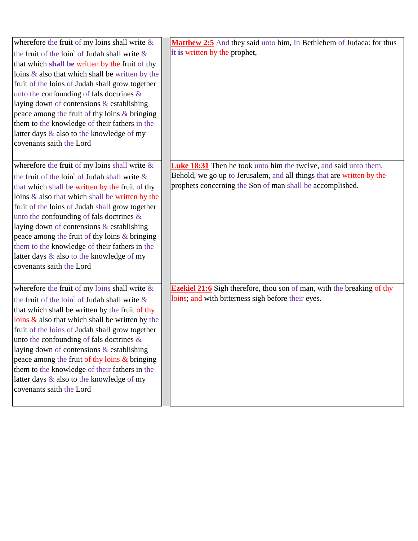| wherefore the fruit of my loins shall write $\&$             | Matthew 2:5 And they said unto him, In Bethlehem of Judaea: for thus          |
|--------------------------------------------------------------|-------------------------------------------------------------------------------|
| the fruit of the loin <sup>s</sup> of Judah shall write $\&$ | it is written by the prophet,                                                 |
| that which shall be written by the fruit of thy              |                                                                               |
| loins $\&$ also that which shall be written by the           |                                                                               |
| fruit of the loins of Judah shall grow together              |                                                                               |
| unto the confounding of fals doctrines $\&$                  |                                                                               |
| laying down of contensions & establishing                    |                                                                               |
| peace among the fruit of thy loins & bringing                |                                                                               |
| them to the knowledge of their fathers in the                |                                                                               |
| latter days & also to the knowledge of my                    |                                                                               |
| covenants saith the Lord                                     |                                                                               |
|                                                              |                                                                               |
|                                                              |                                                                               |
| wherefore the fruit of my loins shall write $\&$             | <b>Luke 18:31</b> Then he took unto him the twelve, and said unto them,       |
| the fruit of the loin <sup>s</sup> of Judah shall write $\&$ | Behold, we go up to Jerusalem, and all things that are written by the         |
| that which shall be written by the fruit of thy              | prophets concerning the Son of man shall be accomplished.                     |
| loins & also that which shall be written by the              |                                                                               |
| fruit of the loins of Judah shall grow together              |                                                                               |
| unto the confounding of fals doctrines $\&$                  |                                                                               |
| laying down of contensions & establishing                    |                                                                               |
| peace among the fruit of thy loins & bringing                |                                                                               |
| them to the knowledge of their fathers in the                |                                                                               |
| latter days & also to the knowledge of my                    |                                                                               |
| covenants saith the Lord                                     |                                                                               |
|                                                              |                                                                               |
| wherefore the fruit of my loins shall write &                | <b>Ezekiel 21:6</b> Sigh therefore, thou son of man, with the breaking of thy |
| the fruit of the $\text{loin}^s$ of Judah shall write $\&$   | loins; and with bitterness sigh before their eyes.                            |
| that which shall be written by the fruit of thy              |                                                                               |
| loins $\&$ also that which shall be written by the           |                                                                               |
| fruit of the loins of Judah shall grow together              |                                                                               |
| unto the confounding of fals doctrines $\&$                  |                                                                               |
| laying down of contensions & establishing                    |                                                                               |
| peace among the fruit of thy loins & bringing                |                                                                               |
| them to the knowledge of their fathers in the                |                                                                               |
| latter days & also to the knowledge of my                    |                                                                               |
| covenants saith the Lord                                     |                                                                               |
|                                                              |                                                                               |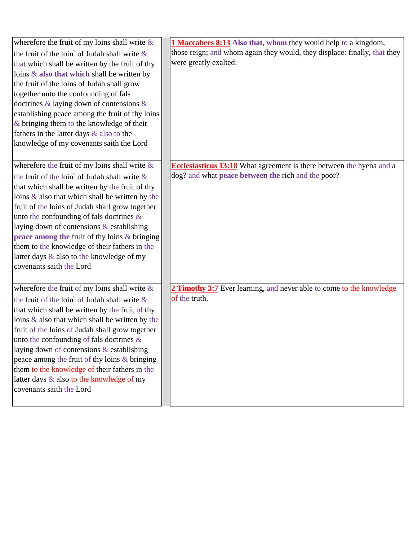| wherefore the fruit of my loins shall write $\&$             | <b>1 Maccabees 8:13</b> Also that, whom they would help to a kingdom,       |
|--------------------------------------------------------------|-----------------------------------------------------------------------------|
| the fruit of the loin <sup>s</sup> of Judah shall write $\&$ | those reign; and whom again they would, they displace: finally, that they   |
| that which shall be written by the fruit of thy              | were greatly exalted:                                                       |
| loins $\&$ also that which shall be written by               |                                                                             |
| the fruit of the loins of Judah shall grow                   |                                                                             |
| together unto the confounding of fals                        |                                                                             |
| doctrines $\&$ laying down of contensions $\&$               |                                                                             |
| establishing peace among the fruit of thy loins              |                                                                             |
| $\&$ bringing them to the knowledge of their                 |                                                                             |
| fathers in the latter days & also to the                     |                                                                             |
| knowledge of my covenants saith the Lord                     |                                                                             |
| wherefore the fruit of my loins shall write $\&$             | <b>Ecclesiasticus 13:18</b> What agreement is there between the hyena and a |
| the fruit of the loin <sup>s</sup> of Judah shall write $\&$ | dog? and what peace between the rich and the poor?                          |
| that which shall be written by the fruit of thy              |                                                                             |
| loins $\&$ also that which shall be written by the           |                                                                             |
| fruit of the loins of Judah shall grow together              |                                                                             |
| unto the confounding of fals doctrines $\&$                  |                                                                             |
| laying down of contensions & establishing                    |                                                                             |
| peace among the fruit of thy loins $&$ bringing              |                                                                             |
| them to the knowledge of their fathers in the                |                                                                             |
| latter days & also to the knowledge of my                    |                                                                             |
| covenants saith the Lord                                     |                                                                             |
| wherefore the fruit of my loins shall write $\&$             | 2 Timothy 3:7 Ever learning, and never able to come to the knowledge        |
| the fruit of the loin <sup>s</sup> of Judah shall write $\&$ | of the truth.                                                               |
| that which shall be written by the fruit of thy              |                                                                             |
| loins $\&$ also that which shall be written by the           |                                                                             |
| fruit of the loins of Judah shall grow together              |                                                                             |
| unto the confounding of fals doctrines $\&$                  |                                                                             |
| laying down of contensions & establishing                    |                                                                             |
| peace among the fruit of thy loins & bringing                |                                                                             |
| them to the knowledge of their fathers in the                |                                                                             |
| latter days & also to the knowledge of my                    |                                                                             |
| covenants saith the Lord                                     |                                                                             |
|                                                              |                                                                             |
|                                                              |                                                                             |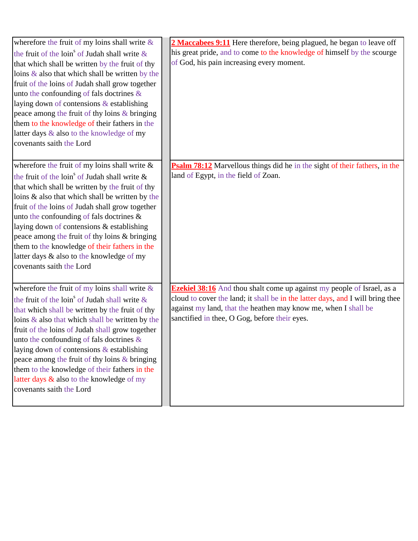| wherefore the fruit of my loins shall write $\&$             | 2 Maccabees 9:11 Here therefore, being plagued, he began to leave off             |
|--------------------------------------------------------------|-----------------------------------------------------------------------------------|
| the fruit of the loin <sup>s</sup> of Judah shall write $\&$ | his great pride, and to come to the knowledge of himself by the scourge           |
| that which shall be written by the fruit of thy              | of God, his pain increasing every moment.                                         |
| loins $\&$ also that which shall be written by the           |                                                                                   |
| fruit of the loins of Judah shall grow together              |                                                                                   |
| unto the confounding of fals doctrines &                     |                                                                                   |
| laying down of contensions & establishing                    |                                                                                   |
| peace among the fruit of thy loins & bringing                |                                                                                   |
| them to the knowledge of their fathers in the                |                                                                                   |
| latter days & also to the knowledge of my                    |                                                                                   |
| covenants saith the Lord                                     |                                                                                   |
|                                                              |                                                                                   |
| wherefore the fruit of my loins shall write $\&$             | <b>Psalm 78:12</b> Marvellous things did he in the sight of their fathers, in the |
| the fruit of the loin <sup>s</sup> of Judah shall write $\&$ | land of Egypt, in the field of Zoan.                                              |
| that which shall be written by the fruit of thy              |                                                                                   |
| loins & also that which shall be written by the              |                                                                                   |
| fruit of the loins of Judah shall grow together              |                                                                                   |
| unto the confounding of fals doctrines &                     |                                                                                   |
| laying down of contensions & establishing                    |                                                                                   |
| peace among the fruit of thy loins & bringing                |                                                                                   |
| them to the knowledge of their fathers in the                |                                                                                   |
| latter days & also to the knowledge of my                    |                                                                                   |
| covenants saith the Lord                                     |                                                                                   |
|                                                              |                                                                                   |
| wherefore the fruit of my loins shall write $\&$             | <b>Ezekiel 38:16</b> And thou shalt come up against my people of Israel, as a     |
| the fruit of the loin <sup>s</sup> of Judah shall write $\&$ | cloud to cover the land; it shall be in the latter days, and I will bring thee    |
| that which shall be written by the fruit of thy              | against my land, that the heathen may know me, when I shall be                    |
| loins $\&$ also that which shall be written by the           | sanctified in thee, O Gog, before their eyes.                                     |
| fruit of the loins of Judah shall grow together              |                                                                                   |
| unto the confounding of fals doctrines $\&$                  |                                                                                   |
| laying down of contensions & establishing                    |                                                                                   |
| peace among the fruit of thy loins & bringing                |                                                                                   |
| them to the knowledge of their fathers in the                |                                                                                   |
| latter days & also to the knowledge of my                    |                                                                                   |
| covenants saith the Lord                                     |                                                                                   |
|                                                              |                                                                                   |
|                                                              |                                                                                   |